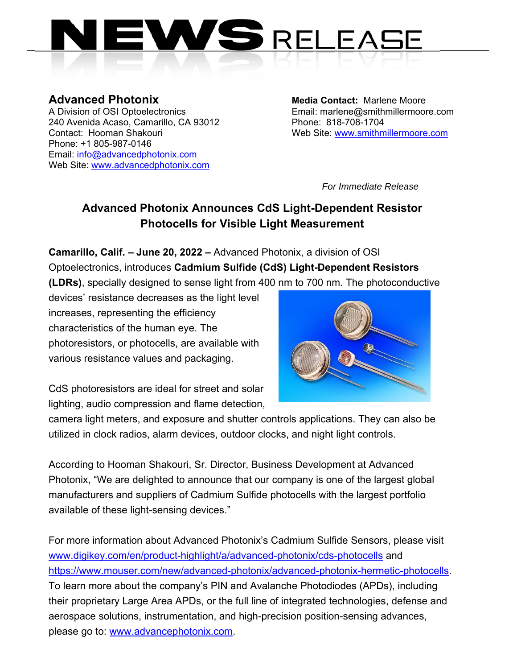

A Division of OSI Optoelectronics **Email:** marlene@smithmillermoore.com 240 Avenida Acaso, Camarillo, CA 93012 Phone: 818-708-1704 Contact: Hooman Shakouri Web Site: www.smithmillermoore.com Phone: +1 805-987-0146 Email: info@advancedphotonix.com Web Site: www.advancedphotonix.com

**Advanced Photonix Media Contact:** Marlene Moore

*For Immediate Release* 

## **Advanced Photonix Announces CdS Light-Dependent Resistor Photocells for Visible Light Measurement**

**Camarillo, Calif. – June 20, 2022 –** Advanced Photonix, a division of OSI Optoelectronics, introduces **Cadmium Sulfide (CdS) Light-Dependent Resistors (LDRs)**, specially designed to sense light from 400 nm to 700 nm. The photoconductive

devices' resistance decreases as the light level increases, representing the efficiency characteristics of the human eye. The photoresistors, or photocells, are available with various resistance values and packaging.



CdS photoresistors are ideal for street and solar lighting, audio compression and flame detection,

camera light meters, and exposure and shutter controls applications. They can also be utilized in clock radios, alarm devices, outdoor clocks, and night light controls.

According to Hooman Shakouri, Sr. Director, Business Development at Advanced Photonix, "We are delighted to announce that our company is one of the largest global manufacturers and suppliers of Cadmium Sulfide photocells with the largest portfolio available of these light-sensing devices."

For more information about Advanced Photonix's Cadmium Sulfide Sensors, please visit www.digikey.com/en/product-highlight/a/advanced-photonix/cds-photocells and https://www.mouser.com/new/advanced-photonix/advanced-photonix-hermetic-photocells. To learn more about the company's PIN and Avalanche Photodiodes (APDs), including their proprietary Large Area APDs, or the full line of integrated technologies, defense and aerospace solutions, instrumentation, and high-precision position-sensing advances, please go to: www.advancephotonix.com.